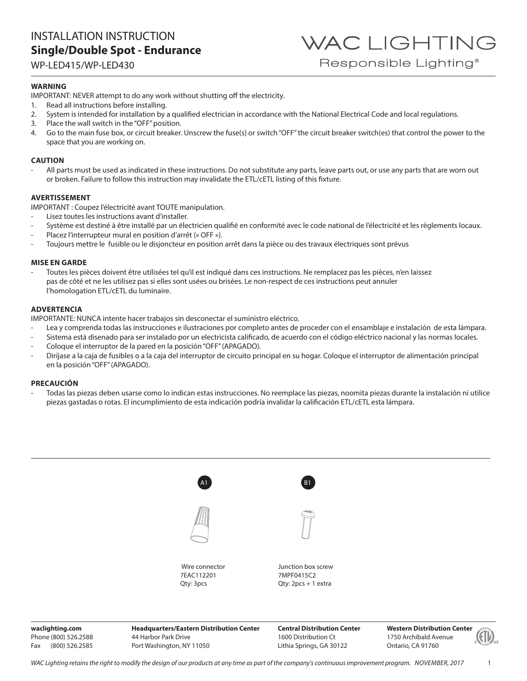### INSTALLATION INSTRUCTION **Single/Double Spot - Endurance**

WP-LED415/WP-LED430

### **WARNING**

IMPORTANT: NEVER attempt to do any work without shutting off the electricity.

- 1. Read all instructions before installing.
- 2. System is intended for installation by a qualified electrician in accordance with the National Electrical Code and local regulations.
- 3. Place the wall switch in the "OFF" position.
- 4. Go to the main fuse box, or circuit breaker. Unscrew the fuse(s) or switch "OFF" the circuit breaker switch(es) that control the power to the space that you are working on.

WAC LIGHTING

Responsible Lighting<sup>®</sup>

### **CAUTION**

All parts must be used as indicated in these instructions. Do not substitute any parts, leave parts out, or use any parts that are worn out or broken. Failure to follow this instruction may invalidate the ETL/cETL listing of this fixture.

### **AVERTISSEMENT**

IMPORTANT : Coupez l'électricité avant TOUTE manipulation.

- Lisez toutes les instructions avant d'installer.
- Système est destiné à être installé par un électricien qualifié en conformité avec le code national de l'électricité et les règlements locaux.
- Placez l'interrupteur mural en position d'arrêt (« OFF »).
- Toujours mettre le fusible ou le disjoncteur en position arrêt dans la pièce ou des travaux électriques sont prévus

### **MISE EN GARDE**

Toutes les pièces doivent être utilisées tel qu'il est indiqué dans ces instructions. Ne remplacez pas les pièces, n'en laissez pas de côté et ne les utilisez pas si elles sont usées ou brisées. Le non-respect de ces instructions peut annuler l'homologation ETL/cETL du luminaire.

### **ADVERTENCIA**

IMPORTANTE: NUNCA intente hacer trabajos sin desconectar el suministro eléctrico.

- Lea y comprenda todas las instrucciones e ilustraciones por completo antes de proceder con el ensamblaje e instalación de esta lámpara.
- Sistema está disenado para ser instalado por un electricista calificado, de acuerdo con el código eléctrico nacional y las normas locales. - Coloque el interruptor de la pared en la posición "OFF" (APAGADO).
- Diríjase a la caja de fusibles o a la caja del interruptor de circuito principal en su hogar. Coloque el interruptor de alimentación principal en la posición "OFF" (APAGADO).

### **PRECAUCIÓN**

- Todas las piezas deben usarse como lo indican estas instrucciones. No reemplace las piezas, noomita piezas durante la instalación ni utilice piezas gastadas o rotas. El incumplimiento de esta indicación podría invalidar la calificación ETL/cETL esta lámpara.

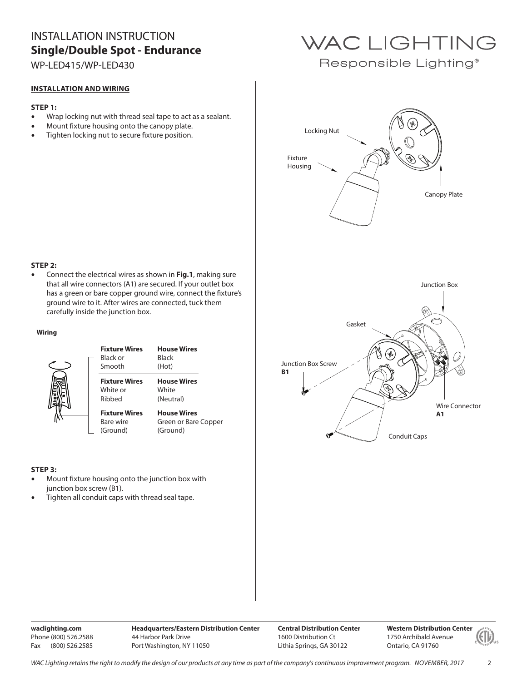## INSTALLATION INSTRUCTION **Single/Double Spot - Endurance**

WP-LED415/WP-LED430

### **INSTALLATION AND WIRING**

### **STEP 1:**

- Wrap locking nut with thread seal tape to act as a sealant.
- Mount fixture housing onto the canopy plate.
- Tighten locking nut to secure fixture position.

## WAC LIGHTING

Responsible Lighting<sup>®</sup>



### **STEP 2:**

• Connect the electrical wires as shown in **Fig.1**, making sure that all wire connectors (A1) are secured. If your outlet box has a green or bare copper ground wire, connect the fixture's ground wire to it. After wires are connected, tuck them carefully inside the junction box.

### **Wiring**



### **STEP 3:**

- Mount fixture housing onto the junction box with junction box screw (B1).
- Tighten all conduit caps with thread seal tape.

**waclighting.com** Phone (800) 526.2588 Fax (800) 526.2585 **Headquarters/Eastern Distribution Center** 44 Harbor Park Drive Port Washington, NY 11050

**Central Distribution Center** 1600 Distribution Ct Lithia Springs, GA 30122

**Western Distribution Center**  1750 Archibald Avenue Ontario, CA 91760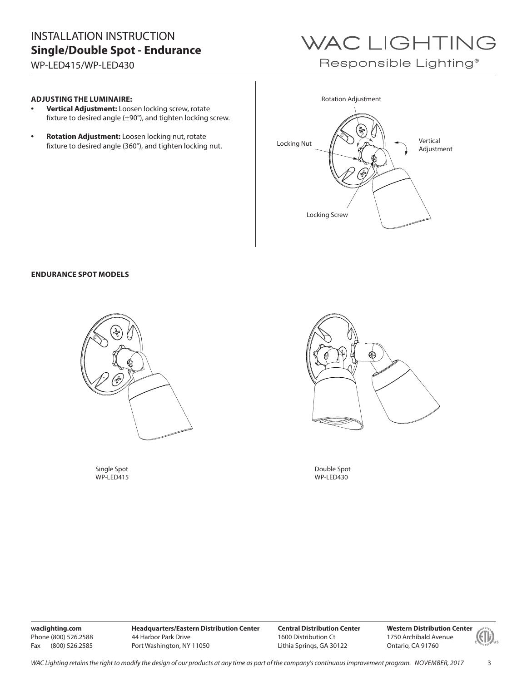## INSTALLATION INSTRUCTION **Single/Double Spot - Endurance**

WP-LED415/WP-LED430

# WAC LIGHTING

Responsible Lighting<sup>®</sup>

### **ADJUSTING THE LUMINAIRE:**

- **Vertical Adjustment:** Loosen locking screw, rotate fixture to desired angle (±90°), and tighten locking screw.
- **Rotation Adjustment:** Loosen locking nut, rotate fixture to desired angle (360°), and tighten locking nut. Locking Nut



### **ENDURANCE SPOT MODELS**



Single Spot WP-LED415



Double Spot WP-LED430

**waclighting.com** Phone (800) 526.2588 Fax (800) 526.2585

**Headquarters/Eastern Distribution Center** 44 Harbor Park Drive Port Washington, NY 11050

**Central Distribution Center** 1600 Distribution Ct Lithia Springs, GA 30122

**Western Distribution Center**  1750 Archibald Avenue Ontario, CA 91760